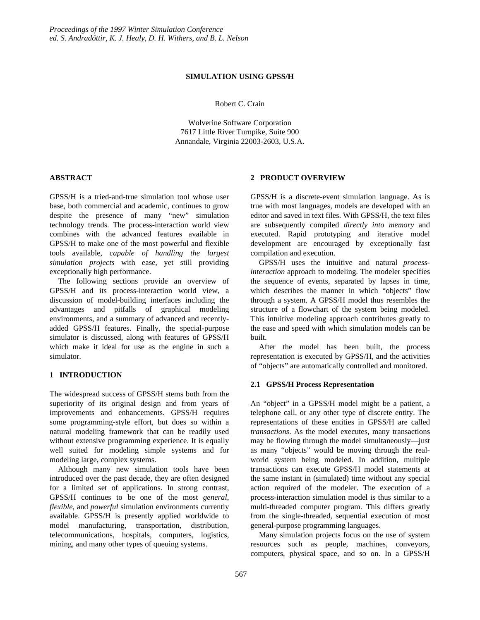## **SIMULATION USING GPSS/H**

Robert C. Crain

Wolverine Software Corporation 7617 Little River Turnpike, Suite 900 Annandale, Virginia 22003-2603, U.S.A.

### **ABSTRACT**

GPSS/H is a tried-and-true simulation tool whose user base, both commercial and academic, continues to grow despite the presence of many "new" simulation technology trends. The process-interaction world view combines with the advanced features available in GPSS/H to make one of the most powerful and flexible tools available, *capable of handling the largest simulation projects* with ease, yet still providing exceptionally high performance.

The following sections provide an overview of GPSS/H and its process-interaction world view, a discussion of model-building interfaces including the advantages and pitfalls of graphical modeling environments, and a summary of advanced and recentlyadded GPSS/H features. Finally, the special-purpose simulator is discussed, along with features of GPSS/H which make it ideal for use as the engine in such a simulator.

# **1 INTRODUCTION**

The widespread success of GPSS/H stems both from the superiority of its original design and from years of improvements and enhancements. GPSS/H requires some programming-style effort, but does so within a natural modeling framework that can be readily used without extensive programming experience. It is equally well suited for modeling simple systems and for modeling large, complex systems.

Although many new simulation tools have been introduced over the past decade, they are often designed for a limited set of applications. In strong contrast, GPSS/H continues to be one of the most *general*, *flexible*, and *powerful* simulation environments currently available. GPSS/H is presently applied worldwide to model manufacturing, transportation, distribution, telecommunications, hospitals, computers, logistics, mining, and many other types of queuing systems.

## **2 PRODUCT OVERVIEW**

GPSS/H is a discrete-event simulation language. As is true with most languages, models are developed with an editor and saved in text files. With GPSS/H, the text files are subsequently compiled *directly into memory* and executed. Rapid prototyping and iterative model development are encouraged by exceptionally fast compilation and execution.

GPSS/H uses the intuitive and natural *processinteraction* approach to modeling. The modeler specifies the sequence of events, separated by lapses in time, which describes the manner in which "objects" flow through a system. A GPSS/H model thus resembles the structure of a flowchart of the system being modeled. This intuitive modeling approach contributes greatly to the ease and speed with which simulation models can be built.

After the model has been built, the process representation is executed by GPSS/H, and the activities of "objects" are automatically controlled and monitored.

## **2.1 GPSS/H Process Representation**

An "object" in a GPSS/H model might be a patient, a telephone call, or any other type of discrete entity. The representations of these entities in GPSS/H are called *transactions*. As the model executes, many transactions may be flowing through the model simultaneously—just as many "objects" would be moving through the realworld system being modeled. In addition, multiple transactions can execute GPSS/H model statements at the same instant in (simulated) time without any special action required of the modeler. The execution of a process-interaction simulation model is thus similar to a multi-threaded computer program. This differs greatly from the single-threaded, sequential execution of most general-purpose programming languages.

Many simulation projects focus on the use of system resources such as people, machines, conveyors, computers, physical space, and so on. In a GPSS/H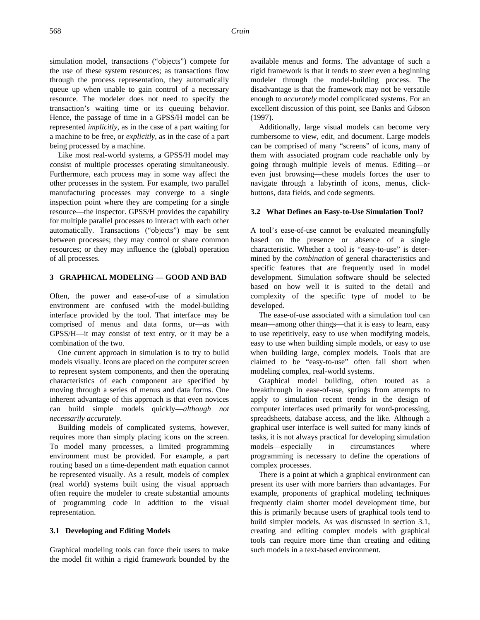simulation model, transactions ("objects") compete for the use of these system resources; as transactions flow through the process representation, they automatically queue up when unable to gain control of a necessary resource. The modeler does not need to specify the transaction's waiting time or its queuing behavior. Hence, the passage of time in a GPSS/H model can be represented *implicitly*, as in the case of a part waiting for a machine to be free, or *explicitly*, as in the case of a part being processed by a machine.

Like most real-world systems, a GPSS/H model may consist of multiple processes operating simultaneously. Furthermore, each process may in some way affect the other processes in the system. For example, two parallel manufacturing processes may converge to a single inspection point where they are competing for a single resource—the inspector. GPSS/H provides the capability for multiple parallel processes to interact with each other automatically. Transactions ("objects") may be sent between processes; they may control or share common resources; or they may influence the (global) operation of all processes.

## **3 GRAPHICAL MODELING — GOOD AND BAD**

Often, the power and ease-of-use of a simulation environment are confused with the model-building interface provided by the tool. That interface may be comprised of menus and data forms, or—as with GPSS/H—it may consist of text entry, or it may be a combination of the two.

One current approach in simulation is to try to build models visually. Icons are placed on the computer screen to represent system components, and then the operating characteristics of each component are specified by moving through a series of menus and data forms. One inherent advantage of this approach is that even novices can build simple models quickly—*although not necessarily accurately*.

Building models of complicated systems, however, requires more than simply placing icons on the screen. To model many processes, a limited programming environment must be provided. For example, a part routing based on a time-dependent math equation cannot be represented visually. As a result, models of complex (real world) systems built using the visual approach often require the modeler to create substantial amounts of programming code in addition to the visual representation.

### **3.1 Developing and Editing Models**

Graphical modeling tools can force their users to make the model fit within a rigid framework bounded by the available menus and forms. The advantage of such a rigid framework is that it tends to steer even a beginning modeler through the model-building process. The disadvantage is that the framework may not be versatile enough to *accurately* model complicated systems. For an excellent discussion of this point, see Banks and Gibson (1997).

Additionally, large visual models can become very cumbersome to view, edit, and document. Large models can be comprised of many "screens" of icons, many of them with associated program code reachable only by going through multiple levels of menus. Editing—or even just browsing—these models forces the user to navigate through a labyrinth of icons, menus, clickbuttons, data fields, and code segments.

#### **3.2 What Defines an Easy-to-Use Simulation Tool?**

A tool's ease-of-use cannot be evaluated meaningfully based on the presence or absence of a single characteristic. Whether a tool is "easy-to-use" is determined by the *combination* of general characteristics and specific features that are frequently used in model development. Simulation software should be selected based on how well it is suited to the detail and complexity of the specific type of model to be developed.

The ease-of-use associated with a simulation tool can mean—among other things—that it is easy to learn, easy to use repetitively, easy to use when modifying models, easy to use when building simple models, or easy to use when building large, complex models. Tools that are claimed to be "easy-to-use" often fall short when modeling complex, real-world systems.

Graphical model building, often touted as a breakthrough in ease-of-use, springs from attempts to apply to simulation recent trends in the design of computer interfaces used primarily for word-processing, spreadsheets, database access, and the like. Although a graphical user interface is well suited for many kinds of tasks, it is not always practical for developing simulation models—especially in circumstances where programming is necessary to define the operations of complex processes.

There is a point at which a graphical environment can present its user with more barriers than advantages. For example, proponents of graphical modeling techniques frequently claim shorter model development time, but this is primarily because users of graphical tools tend to build simpler models. As was discussed in section 3.1, creating and editing complex models with graphical tools can require more time than creating and editing such models in a text-based environment.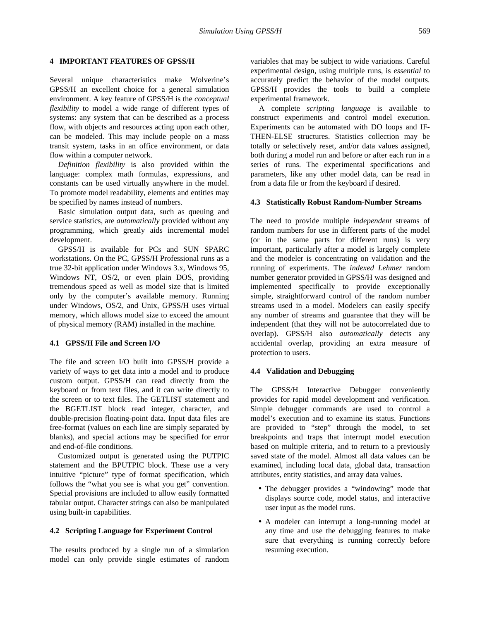### **4 IMPORTANT FEATURES OF GPSS/H**

Several unique characteristics make Wolverine's GPSS/H an excellent choice for a general simulation environment. A key feature of GPSS/H is the *conceptual flexibility* to model a wide range of different types of systems: any system that can be described as a process flow, with objects and resources acting upon each other, can be modeled. This may include people on a mass transit system, tasks in an office environment, or data flow within a computer network.

*Definition flexibility* is also provided within the language: complex math formulas, expressions, and constants can be used virtually anywhere in the model. To promote model readability, elements and entities may be specified by names instead of numbers.

Basic simulation output data, such as queuing and service statistics, are *automatically* provided without any programming, which greatly aids incremental model development.

GPSS/H is available for PCs and SUN SPARC workstations. On the PC, GPSS/H Professional runs as a true 32-bit application under Windows 3.x, Windows 95, Windows NT, OS/2, or even plain DOS, providing tremendous speed as well as model size that is limited only by the computer's available memory. Running under Windows, OS/2, and Unix, GPSS/H uses virtual memory, which allows model size to exceed the amount of physical memory (RAM) installed in the machine.

#### **4.1 GPSS/H File and Screen I/O**

The file and screen I/O built into GPSS/H provide a variety of ways to get data into a model and to produce custom output. GPSS/H can read directly from the keyboard or from text files, and it can write directly to the screen or to text files. The GETLIST statement and the BGETLIST block read integer, character, and double-precision floating-point data. Input data files are free-format (values on each line are simply separated by blanks), and special actions may be specified for error and end-of-file conditions.

Customized output is generated using the PUTPIC statement and the BPUTPIC block. These use a very intuitive "picture" type of format specification, which follows the "what you see is what you get" convention. Special provisions are included to allow easily formatted tabular output. Character strings can also be manipulated using built-in capabilities.

#### **4.2 Scripting Language for Experiment Control**

The results produced by a single run of a simulation model can only provide single estimates of random variables that may be subject to wide variations. Careful experimental design, using multiple runs, is *essential* to accurately predict the behavior of the model outputs*.* GPSS/H provides the tools to build a complete experimental framework.

A complete *scripting language* is available to construct experiments and control model execution. Experiments can be automated with DO loops and IF-THEN-ELSE structures. Statistics collection may be totally or selectively reset, and/or data values assigned, both during a model run and before or after each run in a series of runs. The experimental specifications and parameters, like any other model data, can be read in from a data file or from the keyboard if desired.

#### **4.3 Statistically Robust Random-Number Streams**

The need to provide multiple *independent* streams of random numbers for use in different parts of the model (or in the same parts for different runs) is very important, particularly after a model is largely complete and the modeler is concentrating on validation and the running of experiments. The *indexed Lehmer* random number generator provided in GPSS/H was designed and implemented specifically to provide exceptionally simple, straightforward control of the random number streams used in a model. Modelers can easily specify any number of streams and guarantee that they will be independent (that they will not be autocorrelated due to overlap). GPSS/H also *automatically* detects any accidental overlap, providing an extra measure of protection to users.

### **4.4 Validation and Debugging**

The GPSS/H Interactive Debugger conveniently provides for rapid model development and verification. Simple debugger commands are used to control a model's execution and to examine its status. Functions are provided to "step" through the model, to set breakpoints and traps that interrupt model execution based on multiple criteria, and to return to a previously saved state of the model. Almost all data values can be examined, including local data, global data, transaction attributes, entity statistics, and array data values.

- The debugger provides a "windowing" mode that displays source code, model status, and interactive user input as the model runs.
- A modeler can interrupt a long-running model at any time and use the debugging features to make sure that everything is running correctly before resuming execution.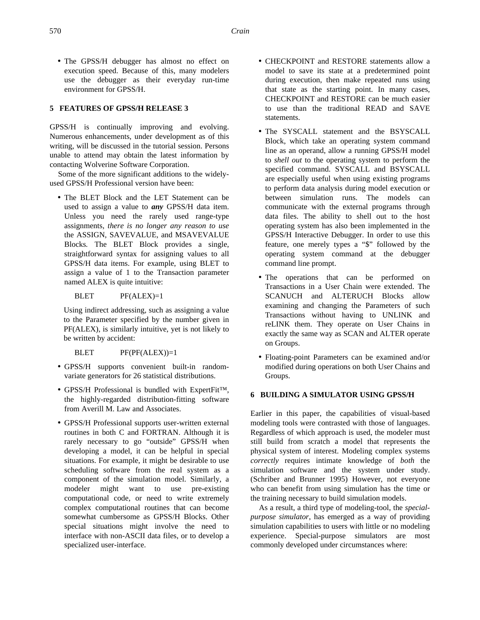• The GPSS/H debugger has almost no effect on execution speed. Because of this, many modelers use the debugger as their everyday run-time environment for GPSS/H.

## **5 FEATURES OF GPSS/H RELEASE 3**

GPSS/H is continually improving and evolving. Numerous enhancements, under development as of this writing, will be discussed in the tutorial session. Persons unable to attend may obtain the latest information by contacting Wolverine Software Corporation.

Some of the more significant additions to the widelyused GPSS/H Professional version have been:

• The BLET Block and the LET Statement can be used to assign a value to *any* GPSS/H data item. Unless you need the rarely used range-type assignments, *there is no longer any reason to use* the ASSIGN, SAVEVALUE, and MSAVEVALUE Blocks*.* The BLET Block provides a single, straightforward syntax for assigning values to all GPSS/H data items. For example, using BLET to assign a value of 1 to the Transaction parameter named ALEX is quite intuitive:

BLET PF(ALEX)=1

Using indirect addressing, such as assigning a value to the Parameter specified by the number given in PF(ALEX), is similarly intuitive, yet is not likely to be written by accident:

BLET PF(PF(ALEX))=1

- GPSS/H supports convenient built-in randomvariate generators for 26 statistical distributions.
- GPSS/H Professional is bundled with ExpertFit™, the highly-regarded distribution-fitting software from Averill M. Law and Associates.
- GPSS/H Professional supports user-written external routines in both C and FORTRAN. Although it is rarely necessary to go "outside" GPSS/H when developing a model, it can be helpful in special situations. For example, it might be desirable to use scheduling software from the real system as a component of the simulation model. Similarly, a modeler might want to use pre-existing computational code, or need to write extremely complex computational routines that can become somewhat cumbersome as GPSS/H Blocks. Other special situations might involve the need to interface with non-ASCII data files, or to develop a specialized user-interface.
- CHECKPOINT and RESTORE statements allow a model to save its state at a predetermined point during execution, then make repeated runs using that state as the starting point. In many cases, CHECKPOINT and RESTORE can be much easier to use than the traditional READ and SAVE statements.
- The SYSCALL statement and the BSYSCALL Block, which take an operating system command line as an operand, allow a running GPSS/H model to *shell out* to the operating system to perform the specified command. SYSCALL and BSYSCALL are especially useful when using existing programs to perform data analysis during model execution or between simulation runs. The models can communicate with the external programs through data files. The ability to shell out to the host operating system has also been implemented in the GPSS/H Interactive Debugger. In order to use this feature, one merely types a "\$" followed by the operating system command at the debugger command line prompt.
- The operations that can be performed on Transactions in a User Chain were extended. The SCANUCH and ALTERUCH Blocks allow examining and changing the Parameters of such Transactions without having to UNLINK and reLINK them. They operate on User Chains in exactly the same way as SCAN and ALTER operate on Groups.
- Floating-point Parameters can be examined and/or modified during operations on both User Chains and Groups.

#### **6 BUILDING A SIMULATOR USING GPSS/H**

Earlier in this paper, the capabilities of visual-based modeling tools were contrasted with those of languages. Regardless of which approach is used, the modeler must still build from scratch a model that represents the physical system of interest. Modeling complex systems *correctly* requires intimate knowledge of *both* the simulation software and the system under study. (Schriber and Brunner 1995) However, not everyone who can benefit from using simulation has the time or the training necessary to build simulation models.

As a result, a third type of modeling-tool, the *specialpurpose simulator*, has emerged as a way of providing simulation capabilities to users with little or no modeling experience. Special-purpose simulators are most commonly developed under circumstances where: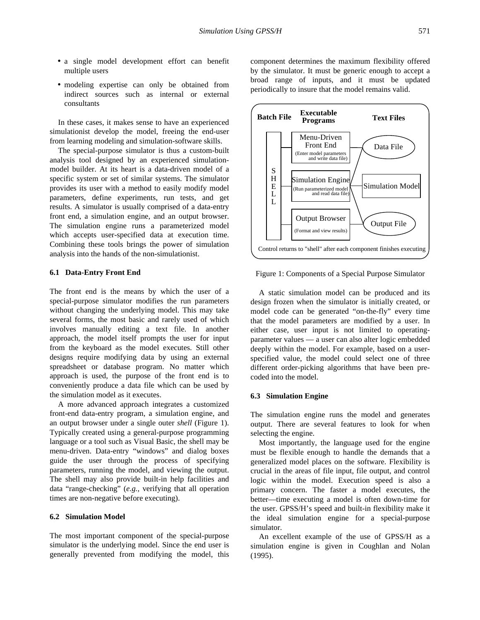- a single model development effort can benefit multiple users
- modeling expertise can only be obtained from indirect sources such as internal or external consultants

In these cases, it makes sense to have an experienced simulationist develop the model, freeing the end-user from learning modeling and simulation-software skills.

The special-purpose simulator is thus a custom-built analysis tool designed by an experienced simulationmodel builder. At its heart is a data-driven model of a specific system or set of similar systems. The simulator provides its user with a method to easily modify model parameters, define experiments, run tests, and get results. A simulator is usually comprised of a data-entry front end, a simulation engine, and an output browser. The simulation engine runs a parameterized model which accepts user-specified data at execution time. Combining these tools brings the power of simulation analysis into the hands of the non-simulationist.

### **6.1 Data-Entry Front End**

The front end is the means by which the user of a special-purpose simulator modifies the run parameters without changing the underlying model. This may take several forms, the most basic and rarely used of which involves manually editing a text file. In another approach, the model itself prompts the user for input from the keyboard as the model executes. Still other designs require modifying data by using an external spreadsheet or database program. No matter which approach is used, the purpose of the front end is to conveniently produce a data file which can be used by the simulation model as it executes.

A more advanced approach integrates a customized front-end data-entry program, a simulation engine, and an output browser under a single outer *shell* (Figure 1). Typically created using a general-purpose programming language or a tool such as Visual Basic, the shell may be menu-driven. Data-entry "windows" and dialog boxes guide the user through the process of specifying parameters, running the model, and viewing the output. The shell may also provide built-in help facilities and data "range-checking" (*e.g.,* verifying that all operation times are non-negative before executing).

## **6.2 Simulation Model**

The most important component of the special-purpose simulator is the underlying model. Since the end user is generally prevented from modifying the model, this component determines the maximum flexibility offered by the simulator. It must be generic enough to accept a broad range of inputs, and it must be updated periodically to insure that the model remains valid.



Figure 1: Components of a Special Purpose Simulator

A static simulation model can be produced and its design frozen when the simulator is initially created, or model code can be generated "on-the-fly" every time that the model parameters are modified by a user. In either case, user input is not limited to operatingparameter values — a user can also alter logic embedded deeply within the model. For example, based on a userspecified value, the model could select one of three different order-picking algorithms that have been precoded into the model.

### **6.3 Simulation Engine**

The simulation engine runs the model and generates output. There are several features to look for when selecting the engine.

Most importantly, the language used for the engine must be flexible enough to handle the demands that a generalized model places on the software. Flexibility is crucial in the areas of file input, file output, and control logic within the model. Execution speed is also a primary concern. The faster a model executes, the better—time executing a model is often down-time for the user. GPSS/H's speed and built-in flexibility make it the ideal simulation engine for a special-purpose simulator.

An excellent example of the use of GPSS/H as a simulation engine is given in Coughlan and Nolan (1995).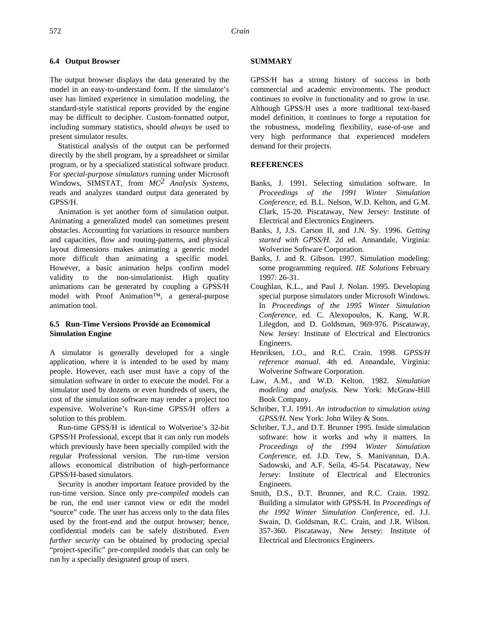### **6.4 Output Browser**

The output browser displays the data generated by the model in an easy-to-understand form. If the simulator's user has limited experience in simulation modeling, the standard-style statistical reports provided by the engine may be difficult to decipher. Custom-formatted output, including summary statistics, should *always* be used to present simulator results.

Statistical analysis of the output can be performed directly by the shell program, by a spreadsheet or similar program, or by a specialized statistical software product. For *special-purpose simulators* running under Microsoft Windows, SIMSTAT, from *MC2 Analysis Systems,* reads and analyzes standard output data generated by GPSS/H.

Animation is yet another form of simulation output. Animating a generalized model can sometimes present obstacles. Accounting for variations in resource numbers and capacities, flow and routing-patterns, and physical layout dimensions makes animating a generic model more difficult than animating a specific model. However, a basic animation helps confirm model validity to the non-simulationist. High quality animations can be generated by coupling a GPSS/H model with Proof Animation™, a general-purpose animation tool.

## **6.5 Run-Time Versions Provide an Economical Simulation Engine**

A simulator is generally developed for a single application, where it is intended to be used by many people. However, each user must have a copy of the simulation software in order to execute the model. For a simulator used by dozens or even hundreds of users, the cost of the simulation software may render a project too expensive. Wolverine's Run-time GPSS/H offers a solution to this problem.

Run-time GPSS/H is identical to Wolverine's 32-bit GPSS/H Professional, except that it can only run models which previously have been specially compiled with the regular Professional version. The run-time version allows economical distribution of high-performance GPSS/H-based simulators.

Security is another important feature provided by the run-time version. Since only *pre-compiled* models can be run, the end user cannot view or edit the model "source" code. The user has access only to the data files used by the front-end and the output browser; hence, confidential models can be safely distributed. *Even further security* can be obtained by producing special "project-specific" pre-compiled models that can only be run by a specially designated group of users.

#### **SUMMARY**

GPSS/H has a strong history of success in both commercial and academic environments. The product continues to evolve in functionality and to grow in use. Although GPSS/H uses a more traditional text-based model definition, it continues to forge a reputation for the robustness, modeling flexibility, ease-of-use and very high performance that experienced modelers demand for their projects.

## **REFERENCES**

- Banks, J. 1991. Selecting simulation software. In *Proceedings of the 1991 Winter Simulation Conference,* ed. B.L. Nelson, W.D. Kelton, and G.M. Clark, 15-20. Piscataway, New Jersey: Institute of Electrical and Electronics Engineers.
- Banks, J, J.S. Carson II, and J.N. Sy. 1996. *Getting started with GPSS/H.* 2d ed. Annandale, Virginia: Wolverine Software Corporation.
- Banks, J. and R. Gibson. 1997. Simulation modeling: some programming required. *IIE Solutions* February 1997: 26-31.
- Coughlan, K.L., and Paul J. Nolan. 1995. Developing special purpose simulators under Microsoft Windows. In *Proceedings of the 1995 Winter Simulation Conference,* ed. C. Alexopoulos, K. Kang, W.R. Lilegdon, and D. Goldsman, 969-976. Piscataway, New Jersey: Institute of Electrical and Electronics Engineers.
- Henriksen, J.O., and R.C. Crain. 1998. *GPSS/H reference manual.* 4th ed. Annandale, Virginia: Wolverine Software Corporation.
- Law, A.M., and W.D. Kelton. 1982. *Simulation modeling and analysis*. New York: McGraw-Hill Book Company.
- Schriber, T.J. 1991. *An introduction to simulation using GPSS/H.* New York: John Wiley & Sons.
- Schriber, T.J., and D.T. Brunner 1995. Inside simulation software: how it works and why it matters. In *Proceedings of the 1994 Winter Simulation Conference,* ed. J.D. Tew, S. Manivannan, D.A. Sadowski, and A.F. Seila, 45-54. Piscataway, New Jersey: Institute of Electrical and Electronics Engineers.
- Smith, D.S., D.T. Brunner, and R.C. Crain. 1992. Building a simulator with GPSS/H. In *Proceedings of the 1992 Winter Simulation Conference*, ed. J.J. Swain, D. Goldsman, R.C. Crain, and J.R. Wilson. 357-360. Piscataway, New Jersey: Institute of Electrical and Electronics Engineers.